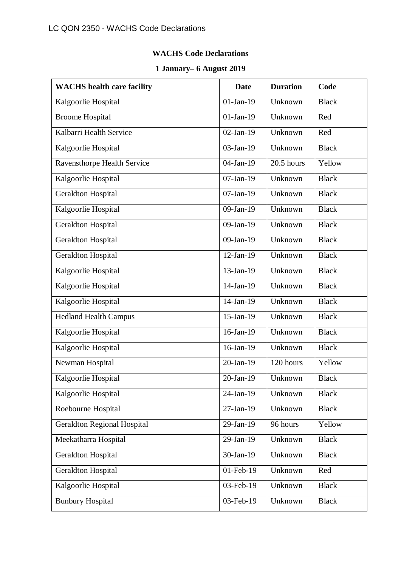## **WACHS Code Declarations**

## **1 January– 6 August 2019**

| <b>WACHS</b> health care facility  | <b>Date</b>  | <b>Duration</b> | Code         |
|------------------------------------|--------------|-----------------|--------------|
| Kalgoorlie Hospital                | $01-Jan-19$  | Unknown         | <b>Black</b> |
| <b>Broome Hospital</b>             | $01-Jan-19$  | Unknown         | Red          |
| Kalbarri Health Service            | $02$ -Jan-19 | Unknown         | Red          |
| Kalgoorlie Hospital                | 03-Jan-19    | Unknown         | <b>Black</b> |
| Ravensthorpe Health Service        | 04-Jan-19    | 20.5 hours      | Yellow       |
| Kalgoorlie Hospital                | $07$ -Jan-19 | Unknown         | <b>Black</b> |
| Geraldton Hospital                 | $07$ -Jan-19 | Unknown         | <b>Black</b> |
| Kalgoorlie Hospital                | $09$ -Jan-19 | Unknown         | <b>Black</b> |
| Geraldton Hospital                 | 09-Jan-19    | Unknown         | <b>Black</b> |
| <b>Geraldton Hospital</b>          | 09-Jan-19    | Unknown         | <b>Black</b> |
| Geraldton Hospital                 | $12-Jan-19$  | Unknown         | <b>Black</b> |
| Kalgoorlie Hospital                | 13-Jan-19    | Unknown         | <b>Black</b> |
| Kalgoorlie Hospital                | $14$ -Jan-19 | Unknown         | <b>Black</b> |
| Kalgoorlie Hospital                | 14-Jan-19    | Unknown         | <b>Black</b> |
| <b>Hedland Health Campus</b>       | 15-Jan-19    | Unknown         | <b>Black</b> |
| Kalgoorlie Hospital                | 16-Jan-19    | Unknown         | <b>Black</b> |
| Kalgoorlie Hospital                | 16-Jan-19    | Unknown         | <b>Black</b> |
| Newman Hospital                    | 20-Jan-19    | 120 hours       | Yellow       |
| Kalgoorlie Hospital                | $20$ -Jan-19 | Unknown         | <b>Black</b> |
| Kalgoorlie Hospital                | 24-Jan-19    | Unknown         | <b>Black</b> |
| Roebourne Hospital                 | 27-Jan-19    | Unknown         | <b>Black</b> |
| <b>Geraldton Regional Hospital</b> | 29-Jan-19    | 96 hours        | Yellow       |
| Meekatharra Hospital               | 29-Jan-19    | Unknown         | <b>Black</b> |
| <b>Geraldton Hospital</b>          | 30-Jan-19    | Unknown         | <b>Black</b> |
| <b>Geraldton Hospital</b>          | 01-Feb-19    | Unknown         | Red          |
| Kalgoorlie Hospital                | 03-Feb-19    | Unknown         | <b>Black</b> |
| <b>Bunbury Hospital</b>            | 03-Feb-19    | Unknown         | <b>Black</b> |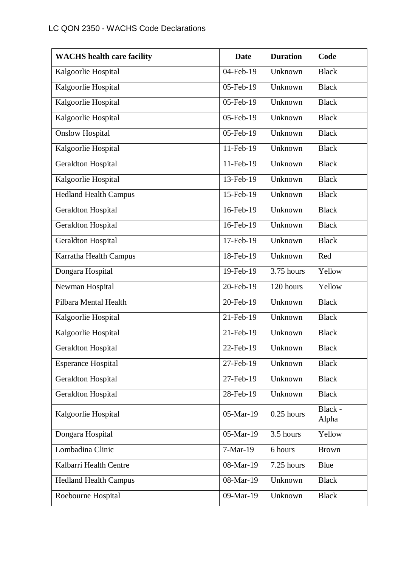| <b>WACHS</b> health care facility | <b>Date</b> | <b>Duration</b> | Code             |
|-----------------------------------|-------------|-----------------|------------------|
| Kalgoorlie Hospital               | 04-Feb-19   | Unknown         | <b>Black</b>     |
| Kalgoorlie Hospital               | 05-Feb-19   | Unknown         | <b>Black</b>     |
| Kalgoorlie Hospital               | 05-Feb-19   | Unknown         | <b>Black</b>     |
| Kalgoorlie Hospital               | 05-Feb-19   | Unknown         | <b>Black</b>     |
| <b>Onslow Hospital</b>            | 05-Feb-19   | Unknown         | <b>Black</b>     |
| Kalgoorlie Hospital               | 11-Feb-19   | Unknown         | <b>Black</b>     |
| <b>Geraldton Hospital</b>         | 11-Feb-19   | Unknown         | <b>Black</b>     |
| Kalgoorlie Hospital               | 13-Feb-19   | Unknown         | <b>Black</b>     |
| <b>Hedland Health Campus</b>      | 15-Feb-19   | Unknown         | <b>Black</b>     |
| <b>Geraldton Hospital</b>         | 16-Feb-19   | Unknown         | <b>Black</b>     |
| Geraldton Hospital                | 16-Feb-19   | Unknown         | <b>Black</b>     |
| <b>Geraldton Hospital</b>         | 17-Feb-19   | Unknown         | <b>Black</b>     |
| Karratha Health Campus            | 18-Feb-19   | Unknown         | Red              |
| Dongara Hospital                  | 19-Feb-19   | 3.75 hours      | Yellow           |
| Newman Hospital                   | 20-Feb-19   | 120 hours       | Yellow           |
| Pilbara Mental Health             | 20-Feb-19   | Unknown         | <b>Black</b>     |
| Kalgoorlie Hospital               | 21-Feb-19   | Unknown         | <b>Black</b>     |
| Kalgoorlie Hospital               | 21-Feb-19   | Unknown         | <b>Black</b>     |
| Geraldton Hospital                | 22-Feb-19   | Unknown         | <b>Black</b>     |
| <b>Esperance Hospital</b>         | 27-Feb-19   | Unknown         | <b>Black</b>     |
| <b>Geraldton Hospital</b>         | 27-Feb-19   | Unknown         | <b>Black</b>     |
| <b>Geraldton Hospital</b>         | 28-Feb-19   | Unknown         | <b>Black</b>     |
| Kalgoorlie Hospital               | 05-Mar-19   | $0.25$ hours    | Black -<br>Alpha |
| Dongara Hospital                  | 05-Mar-19   | 3.5 hours       | Yellow           |
| Lombadina Clinic                  | 7-Mar-19    | 6 hours         | <b>Brown</b>     |
| Kalbarri Health Centre            | 08-Mar-19   | 7.25 hours      | Blue             |
| <b>Hedland Health Campus</b>      | 08-Mar-19   | Unknown         | <b>Black</b>     |
| Roebourne Hospital                | 09-Mar-19   | Unknown         | <b>Black</b>     |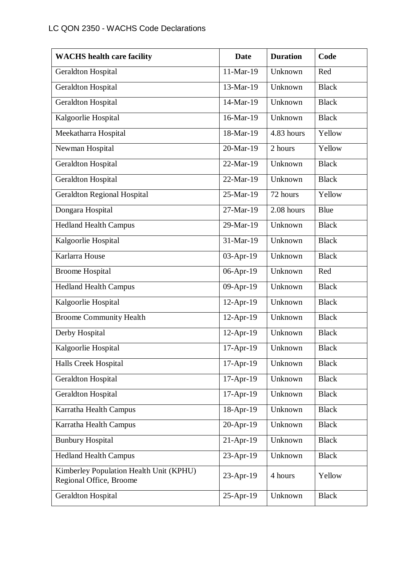| <b>WACHS</b> health care facility                                  | <b>Date</b> | <b>Duration</b> | Code         |
|--------------------------------------------------------------------|-------------|-----------------|--------------|
| Geraldton Hospital                                                 | 11-Mar-19   | Unknown         | Red          |
| <b>Geraldton Hospital</b>                                          | 13-Mar-19   | Unknown         | <b>Black</b> |
| Geraldton Hospital                                                 | 14-Mar-19   | Unknown         | <b>Black</b> |
| Kalgoorlie Hospital                                                | 16-Mar-19   | Unknown         | <b>Black</b> |
| Meekatharra Hospital                                               | 18-Mar-19   | 4.83 hours      | Yellow       |
| Newman Hospital                                                    | 20-Mar-19   | 2 hours         | Yellow       |
| <b>Geraldton Hospital</b>                                          | 22-Mar-19   | Unknown         | <b>Black</b> |
| Geraldton Hospital                                                 | 22-Mar-19   | Unknown         | <b>Black</b> |
| <b>Geraldton Regional Hospital</b>                                 | 25-Mar-19   | 72 hours        | Yellow       |
| Dongara Hospital                                                   | 27-Mar-19   | 2.08 hours      | Blue         |
| <b>Hedland Health Campus</b>                                       | 29-Mar-19   | Unknown         | <b>Black</b> |
| Kalgoorlie Hospital                                                | 31-Mar-19   | Unknown         | <b>Black</b> |
| Karlarra House                                                     | 03-Apr-19   | Unknown         | <b>Black</b> |
| <b>Broome Hospital</b>                                             | 06-Apr-19   | Unknown         | Red          |
| <b>Hedland Health Campus</b>                                       | 09-Apr-19   | Unknown         | <b>Black</b> |
| Kalgoorlie Hospital                                                | 12-Apr-19   | Unknown         | <b>Black</b> |
| <b>Broome Community Health</b>                                     | 12-Apr-19   | Unknown         | <b>Black</b> |
| Derby Hospital                                                     | 12-Apr-19   | Unknown         | <b>Black</b> |
| Kalgoorlie Hospital                                                | 17-Apr-19   | Unknown         | <b>Black</b> |
| <b>Halls Creek Hospital</b>                                        | 17-Apr-19   | Unknown         | <b>Black</b> |
| <b>Geraldton Hospital</b>                                          | 17-Apr-19   | Unknown         | <b>Black</b> |
| Geraldton Hospital                                                 | 17-Apr-19   | Unknown         | <b>Black</b> |
| Karratha Health Campus                                             | 18-Apr-19   | Unknown         | <b>Black</b> |
| Karratha Health Campus                                             | 20-Apr-19   | Unknown         | <b>Black</b> |
| <b>Bunbury Hospital</b>                                            | $21-Apr-19$ | Unknown         | <b>Black</b> |
| <b>Hedland Health Campus</b>                                       | 23-Apr-19   | Unknown         | <b>Black</b> |
| Kimberley Population Health Unit (KPHU)<br>Regional Office, Broome | 23-Apr-19   | 4 hours         | Yellow       |
| Geraldton Hospital                                                 | 25-Apr-19   | Unknown         | <b>Black</b> |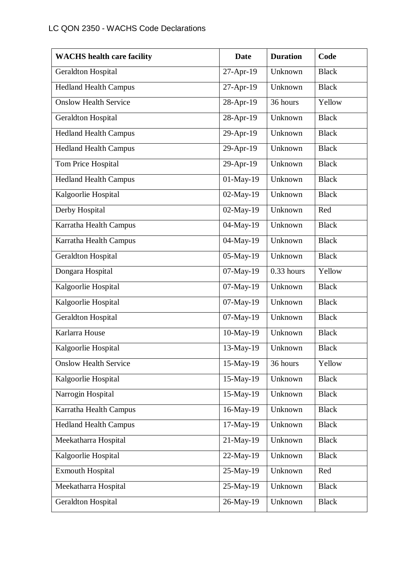| <b>WACHS</b> health care facility | <b>Date</b> | <b>Duration</b> | Code         |
|-----------------------------------|-------------|-----------------|--------------|
| Geraldton Hospital                | 27-Apr-19   | Unknown         | <b>Black</b> |
| <b>Hedland Health Campus</b>      | 27-Apr-19   | Unknown         | <b>Black</b> |
| <b>Onslow Health Service</b>      | 28-Apr-19   | 36 hours        | Yellow       |
| Geraldton Hospital                | 28-Apr-19   | Unknown         | <b>Black</b> |
| <b>Hedland Health Campus</b>      | 29-Apr-19   | Unknown         | <b>Black</b> |
| <b>Hedland Health Campus</b>      | 29-Apr-19   | Unknown         | <b>Black</b> |
| Tom Price Hospital                | 29-Apr-19   | Unknown         | <b>Black</b> |
| <b>Hedland Health Campus</b>      | 01-May-19   | Unknown         | <b>Black</b> |
| Kalgoorlie Hospital               | 02-May-19   | Unknown         | <b>Black</b> |
| Derby Hospital                    | 02-May-19   | Unknown         | Red          |
| Karratha Health Campus            | 04-May-19   | Unknown         | <b>Black</b> |
| Karratha Health Campus            | 04-May-19   | Unknown         | <b>Black</b> |
| Geraldton Hospital                | 05-May-19   | Unknown         | <b>Black</b> |
| Dongara Hospital                  | 07-May-19   | $0.33$ hours    | Yellow       |
| Kalgoorlie Hospital               | 07-May-19   | Unknown         | <b>Black</b> |
| Kalgoorlie Hospital               | 07-May-19   | Unknown         | <b>Black</b> |
| <b>Geraldton Hospital</b>         | 07-May-19   | Unknown         | <b>Black</b> |
| Karlarra House                    | 10-May-19   | Unknown         | <b>Black</b> |
| Kalgoorlie Hospital               | 13-May-19   | Unknown         | <b>Black</b> |
| <b>Onslow Health Service</b>      | 15-May-19   | 36 hours        | Yellow       |
| Kalgoorlie Hospital               | 15-May-19   | Unknown         | <b>Black</b> |
| Narrogin Hospital                 | 15-May-19   | Unknown         | <b>Black</b> |
| Karratha Health Campus            | 16-May-19   | Unknown         | <b>Black</b> |
| <b>Hedland Health Campus</b>      | 17-May-19   | Unknown         | <b>Black</b> |
| Meekatharra Hospital              | 21-May-19   | Unknown         | <b>Black</b> |
| Kalgoorlie Hospital               | 22-May-19   | Unknown         | <b>Black</b> |
| <b>Exmouth Hospital</b>           | 25-May-19   | Unknown         | Red          |
| Meekatharra Hospital              | 25-May-19   | Unknown         | <b>Black</b> |
| <b>Geraldton Hospital</b>         | 26-May-19   | Unknown         | <b>Black</b> |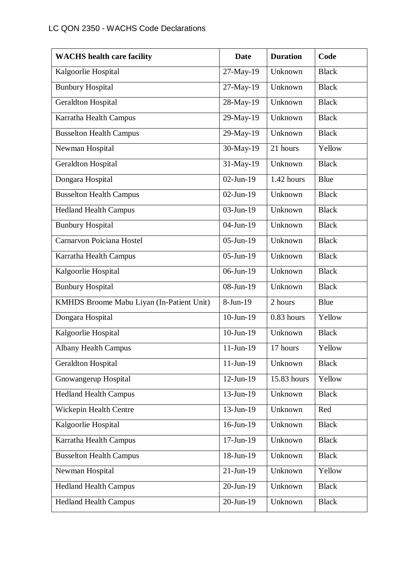| <b>WACHS</b> health care facility         | <b>Date</b>     | <b>Duration</b> | Code         |
|-------------------------------------------|-----------------|-----------------|--------------|
| Kalgoorlie Hospital                       | 27-May-19       | Unknown         | <b>Black</b> |
| <b>Bunbury Hospital</b>                   | 27-May-19       | Unknown         | <b>Black</b> |
| <b>Geraldton Hospital</b>                 | 28-May-19       | Unknown         | <b>Black</b> |
| Karratha Health Campus                    | 29-May-19       | Unknown         | <b>Black</b> |
| <b>Busselton Health Campus</b>            | 29-May-19       | Unknown         | <b>Black</b> |
| Newman Hospital                           | 30-May-19       | 21 hours        | Yellow       |
| <b>Geraldton Hospital</b>                 | 31-May-19       | Unknown         | <b>Black</b> |
| Dongara Hospital                          | $02$ -Jun-19    | 1.42 hours      | <b>Blue</b>  |
| <b>Busselton Health Campus</b>            | $02$ -Jun-19    | Unknown         | <b>Black</b> |
| <b>Hedland Health Campus</b>              | 03-Jun-19       | Unknown         | <b>Black</b> |
| <b>Bunbury Hospital</b>                   | 04-Jun-19       | Unknown         | <b>Black</b> |
| Carnarvon Poiciana Hostel                 | $05$ -Jun-19    | Unknown         | <b>Black</b> |
| Karratha Health Campus                    | 05-Jun-19       | Unknown         | <b>Black</b> |
| Kalgoorlie Hospital                       | 06-Jun-19       | Unknown         | <b>Black</b> |
| <b>Bunbury Hospital</b>                   | 08-Jun-19       | Unknown         | <b>Black</b> |
| KMHDS Broome Mabu Liyan (In-Patient Unit) | $8-Jun-19$      | 2 hours         | <b>Blue</b>  |
| Dongara Hospital                          | $10$ -Jun- $19$ | 0.83 hours      | Yellow       |
| Kalgoorlie Hospital                       | 10-Jun-19       | Unknown         | <b>Black</b> |
| <b>Albany Health Campus</b>               | $11$ -Jun-19    | 17 hours        | Yellow       |
| Geraldton Hospital                        | $11-Jun-19$     | Unknown         | <b>Black</b> |
| Gnowangerup Hospital                      | $12$ -Jun-19    | 15.83 hours     | Yellow       |
| <b>Hedland Health Campus</b>              | 13-Jun-19       | Unknown         | <b>Black</b> |
| Wickepin Health Centre                    | 13-Jun-19       | Unknown         | Red          |
| Kalgoorlie Hospital                       | 16-Jun-19       | Unknown         | <b>Black</b> |
| Karratha Health Campus                    | $17$ -Jun- $19$ | Unknown         | <b>Black</b> |
| <b>Busselton Health Campus</b>            | 18-Jun-19       | Unknown         | <b>Black</b> |
| Newman Hospital                           | $21-Jun-19$     | Unknown         | Yellow       |
| <b>Hedland Health Campus</b>              | 20-Jun-19       | Unknown         | <b>Black</b> |
| <b>Hedland Health Campus</b>              | 20-Jun-19       | Unknown         | <b>Black</b> |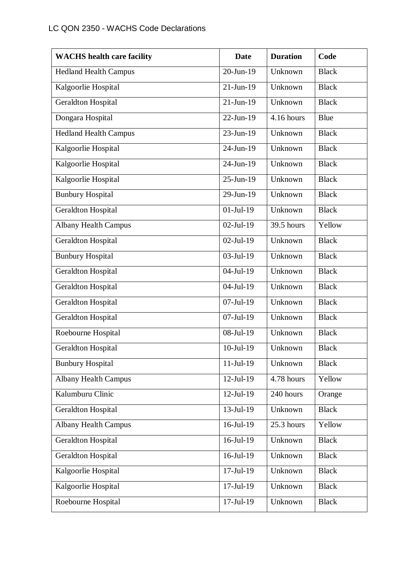| <b>WACHS</b> health care facility | <b>Date</b>             | <b>Duration</b> | Code         |
|-----------------------------------|-------------------------|-----------------|--------------|
| <b>Hedland Health Campus</b>      | $20$ -Jun-19            | Unknown         | <b>Black</b> |
| Kalgoorlie Hospital               | $21-Jun-19$             | Unknown         | <b>Black</b> |
| Geraldton Hospital                | $21-Jun-19$             | Unknown         | <b>Black</b> |
| Dongara Hospital                  | 22-Jun-19               | 4.16 hours      | <b>Blue</b>  |
| <b>Hedland Health Campus</b>      | $23$ -Jun-19            | Unknown         | <b>Black</b> |
| Kalgoorlie Hospital               | 24-Jun-19               | Unknown         | <b>Black</b> |
| Kalgoorlie Hospital               | 24-Jun-19               | Unknown         | <b>Black</b> |
| Kalgoorlie Hospital               | 25-Jun-19               | Unknown         | <b>Black</b> |
| <b>Bunbury Hospital</b>           | 29-Jun-19               | Unknown         | <b>Black</b> |
| <b>Geraldton Hospital</b>         | $\overline{0}$ 1-Jul-19 | Unknown         | <b>Black</b> |
| <b>Albany Health Campus</b>       | $02$ -Jul-19            | 39.5 hours      | Yellow       |
| Geraldton Hospital                | $02$ -Jul-19            | Unknown         | <b>Black</b> |
| <b>Bunbury Hospital</b>           | 03-Jul-19               | Unknown         | <b>Black</b> |
| Geraldton Hospital                | 04-Jul-19               | Unknown         | <b>Black</b> |
| <b>Geraldton Hospital</b>         | $04$ -Jul-19            | Unknown         | <b>Black</b> |
| <b>Geraldton Hospital</b>         | $07$ -Jul-19            | Unknown         | <b>Black</b> |
| <b>Geraldton Hospital</b>         | $07$ -Jul-19            | Unknown         | <b>Black</b> |
| Roebourne Hospital                | 08-Jul-19               | Unknown         | <b>Black</b> |
| <b>Geraldton Hospital</b>         | $10$ -Jul-19            | Unknown         | <b>Black</b> |
| <b>Bunbury Hospital</b>           | $11-Ju1-19$             | Unknown         | <b>Black</b> |
| <b>Albany Health Campus</b>       | $12$ -Jul- $19$         | 4.78 hours      | Yellow       |
| Kalumburu Clinic                  | $12-Jul-19$             | 240 hours       | Orange       |
| Geraldton Hospital                | 13-Jul-19               | Unknown         | <b>Black</b> |
| <b>Albany Health Campus</b>       | 16-Jul-19               | 25.3 hours      | Yellow       |
| <b>Geraldton Hospital</b>         | $16$ -Jul- $19$         | Unknown         | <b>Black</b> |
| Geraldton Hospital                | 16-Jul-19               | Unknown         | <b>Black</b> |
| Kalgoorlie Hospital               | $17 -$ Jul $-19$        | Unknown         | <b>Black</b> |
| Kalgoorlie Hospital               | 17-Jul-19               | Unknown         | <b>Black</b> |
| Roebourne Hospital                | $17$ -Jul- $19$         | Unknown         | <b>Black</b> |